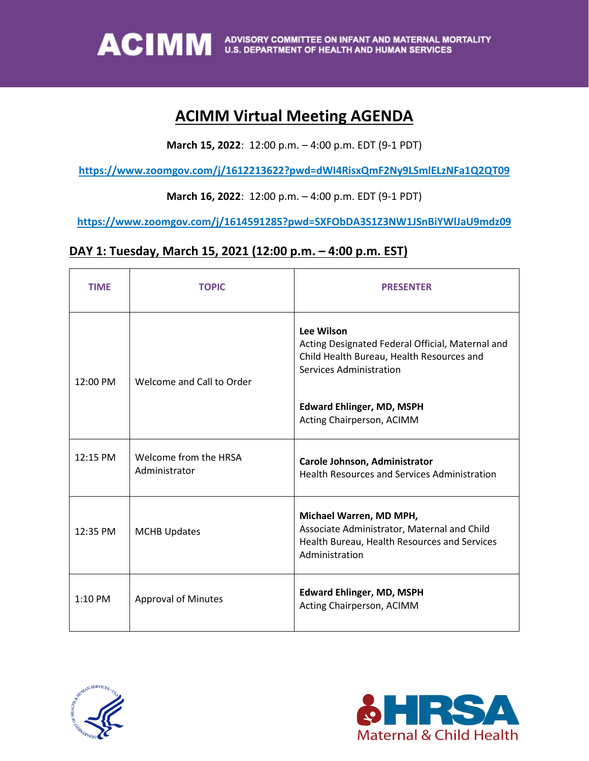

### **ACIMM Virtual Meeting AGENDA**

**March 15, 2022**: 12:00 p.m. – 4:00 p.m. EDT (9-1 PDT)

**https://www.zoomgov.com/j/1612213622?pwd=dWI4RisxQmF2Ny9LSmlELzNFa1Q2QT09** 

#### **March 16, 2022**: 12:00 p.m. – 4:00 p.m. EDT (9-1 PDT)

**https://www.zoomgov.com/j/1614591285?pwd=SXFObDA3S1Z3NW1JSnBiYWlJaU9mdz09**

#### **DAY 1: Tuesday, March 15, 2021 (12:00 p.m. – 4:00 p.m. EST)**

| <b>TIME</b> | <b>TOPIC</b>                           | <b>PRESENTER</b>                                                                                                                         |
|-------------|----------------------------------------|------------------------------------------------------------------------------------------------------------------------------------------|
| 12:00 PM    | Welcome and Call to Order              | Lee Wilson<br>Acting Designated Federal Official, Maternal and<br>Child Health Bureau, Health Resources and<br>Services Administration   |
|             |                                        | <b>Edward Ehlinger, MD, MSPH</b><br>Acting Chairperson, ACIMM                                                                            |
| 12:15 PM    | Welcome from the HRSA<br>Administrator | Carole Johnson, Administrator<br><b>Health Resources and Services Administration</b>                                                     |
| 12:35 PM    | <b>MCHB Updates</b>                    | Michael Warren, MD MPH,<br>Associate Administrator, Maternal and Child<br>Health Bureau, Health Resources and Services<br>Administration |
| $1:10$ PM   | <b>Approval of Minutes</b>             | <b>Edward Ehlinger, MD, MSPH</b><br>Acting Chairperson, ACIMM                                                                            |



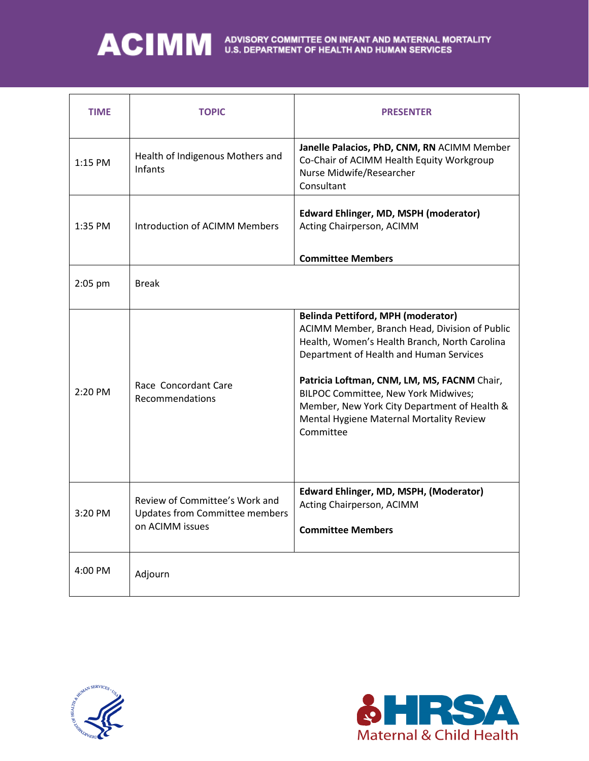# ACIMM ADVISORY COMMITTEE ON INFANT AND MATERNAL MORTALITY

| <b>TIME</b> | <b>TOPIC</b>                                                                               | <b>PRESENTER</b>                                                                                                                                                                                                                                                                                                                                                                       |
|-------------|--------------------------------------------------------------------------------------------|----------------------------------------------------------------------------------------------------------------------------------------------------------------------------------------------------------------------------------------------------------------------------------------------------------------------------------------------------------------------------------------|
| 1:15 PM     | Health of Indigenous Mothers and<br>Infants                                                | Janelle Palacios, PhD, CNM, RN ACIMM Member<br>Co-Chair of ACIMM Health Equity Workgroup<br>Nurse Midwife/Researcher<br>Consultant                                                                                                                                                                                                                                                     |
| 1:35 PM     | Introduction of ACIMM Members                                                              | <b>Edward Ehlinger, MD, MSPH (moderator)</b><br>Acting Chairperson, ACIMM                                                                                                                                                                                                                                                                                                              |
|             |                                                                                            | <b>Committee Members</b>                                                                                                                                                                                                                                                                                                                                                               |
| $2:05$ pm   | <b>Break</b>                                                                               |                                                                                                                                                                                                                                                                                                                                                                                        |
| 2:20 PM     | Race Concordant Care<br>Recommendations                                                    | <b>Belinda Pettiford, MPH (moderator)</b><br>ACIMM Member, Branch Head, Division of Public<br>Health, Women's Health Branch, North Carolina<br>Department of Health and Human Services<br>Patricia Loftman, CNM, LM, MS, FACNM Chair,<br>BILPOC Committee, New York Midwives;<br>Member, New York City Department of Health &<br>Mental Hygiene Maternal Mortality Review<br>Committee |
| 3:20 PM     | Review of Committee's Work and<br><b>Updates from Committee members</b><br>on ACIMM issues | Edward Ehlinger, MD, MSPH, (Moderator)<br>Acting Chairperson, ACIMM<br><b>Committee Members</b>                                                                                                                                                                                                                                                                                        |
| 4:00 PM     | Adjourn                                                                                    |                                                                                                                                                                                                                                                                                                                                                                                        |



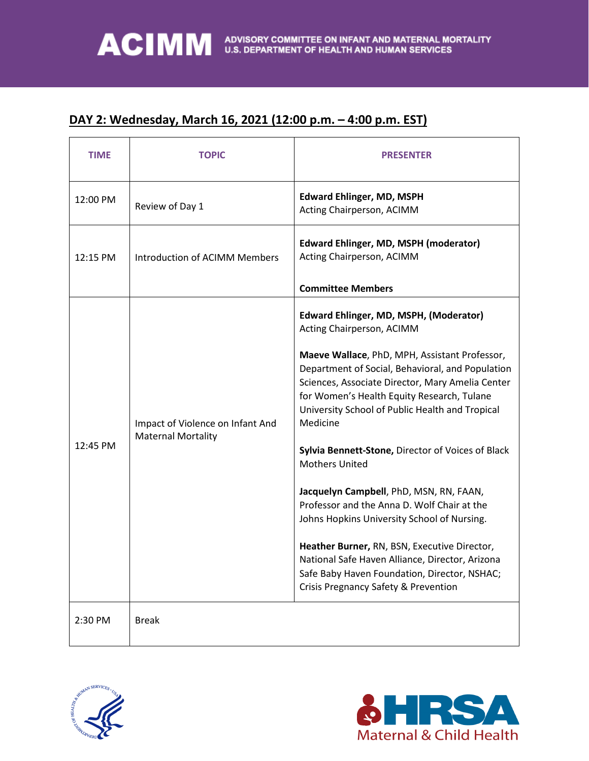### **DAY 2: Wednesday, March 16, 2021 (12:00 p.m. – 4:00 p.m. EST)**

| <b>TIME</b> | <b>TOPIC</b>                                                  | <b>PRESENTER</b>                                                                                                                                                                                                                                                                                                                                                                                                                                                                                                                                                                                                                                                                                                                                                       |
|-------------|---------------------------------------------------------------|------------------------------------------------------------------------------------------------------------------------------------------------------------------------------------------------------------------------------------------------------------------------------------------------------------------------------------------------------------------------------------------------------------------------------------------------------------------------------------------------------------------------------------------------------------------------------------------------------------------------------------------------------------------------------------------------------------------------------------------------------------------------|
| 12:00 PM    | Review of Day 1                                               | <b>Edward Ehlinger, MD, MSPH</b><br>Acting Chairperson, ACIMM                                                                                                                                                                                                                                                                                                                                                                                                                                                                                                                                                                                                                                                                                                          |
| 12:15 PM    | Introduction of ACIMM Members                                 | <b>Edward Ehlinger, MD, MSPH (moderator)</b><br>Acting Chairperson, ACIMM                                                                                                                                                                                                                                                                                                                                                                                                                                                                                                                                                                                                                                                                                              |
|             |                                                               | <b>Committee Members</b>                                                                                                                                                                                                                                                                                                                                                                                                                                                                                                                                                                                                                                                                                                                                               |
| 12:45 PM    | Impact of Violence on Infant And<br><b>Maternal Mortality</b> | Edward Ehlinger, MD, MSPH, (Moderator)<br>Acting Chairperson, ACIMM<br>Maeve Wallace, PhD, MPH, Assistant Professor,<br>Department of Social, Behavioral, and Population<br>Sciences, Associate Director, Mary Amelia Center<br>for Women's Health Equity Research, Tulane<br>University School of Public Health and Tropical<br>Medicine<br>Sylvia Bennett-Stone, Director of Voices of Black<br><b>Mothers United</b><br>Jacquelyn Campbell, PhD, MSN, RN, FAAN,<br>Professor and the Anna D. Wolf Chair at the<br>Johns Hopkins University School of Nursing.<br>Heather Burner, RN, BSN, Executive Director,<br>National Safe Haven Alliance, Director, Arizona<br>Safe Baby Haven Foundation, Director, NSHAC;<br><b>Crisis Pregnancy Safety &amp; Prevention</b> |
| 2:30 PM     | <b>Break</b>                                                  |                                                                                                                                                                                                                                                                                                                                                                                                                                                                                                                                                                                                                                                                                                                                                                        |